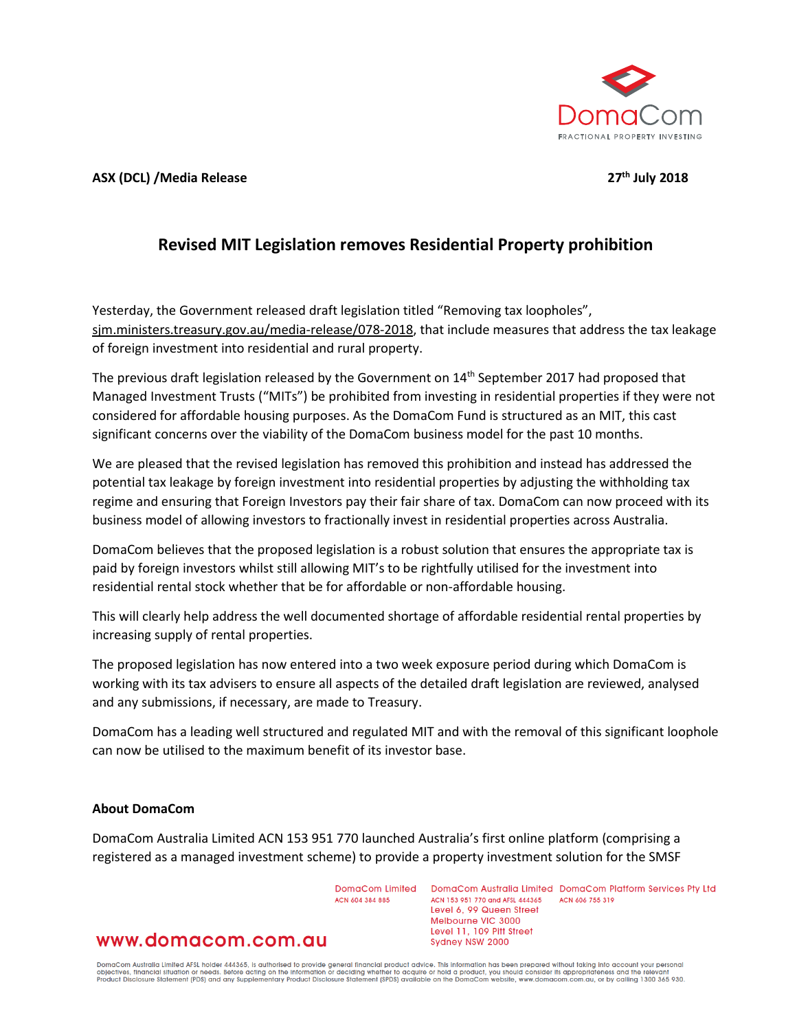

**ASX (DCL) /Media Release 27th July 2018**

## **Revised MIT Legislation removes Residential Property prohibition**

Yesterday, the Government released draft legislation titled "Removing tax loopholes", sjm.ministers.treasury.gov.au/media-release/078-2018, that include measures that address the tax leakage of foreign investment into residential and rural property.

The previous draft legislation released by the Government on 14<sup>th</sup> September 2017 had proposed that Managed Investment Trusts ("MITs") be prohibited from investing in residential properties if they were not considered for affordable housing purposes. As the DomaCom Fund is structured as an MIT, this cast significant concerns over the viability of the DomaCom business model for the past 10 months.

We are pleased that the revised legislation has removed this prohibition and instead has addressed the potential tax leakage by foreign investment into residential properties by adjusting the withholding tax regime and ensuring that Foreign Investors pay their fair share of tax. DomaCom can now proceed with its business model of allowing investors to fractionally invest in residential properties across Australia.

DomaCom believes that the proposed legislation is a robust solution that ensures the appropriate tax is paid by foreign investors whilst still allowing MIT's to be rightfully utilised for the investment into residential rental stock whether that be for affordable or non-affordable housing.

This will clearly help address the well documented shortage of affordable residential rental properties by increasing supply of rental properties.

The proposed legislation has now entered into a two week exposure period during which DomaCom is working with its tax advisers to ensure all aspects of the detailed draft legislation are reviewed, analysed and any submissions, if necessary, are made to Treasury.

DomaCom has a leading well structured and regulated MIT and with the removal of this significant loophole can now be utilised to the maximum benefit of its investor base.

## **About DomaCom**

DomaCom Australia Limited ACN 153 951 770 launched Australia's first online platform (comprising a registered as a managed investment scheme) to provide a property investment solution for the SMSF

ACN ANA 384 885

DomaCom Limited DomaCom Australia Limited DomaCom Platform Services Pty Ltd ACN 153 951 770 and AFSL 444365 ACN 606 755 319 Level 6, 99 Queen Street Melbourne VIC 3000 Level 11, 109 Pitt Street Sydney NSW 2000

## www.domacom.com.au

DomaCom Australia Limited AFSL holder 444365, is authorised to provide general financial product advice. This information has been prepared without taking into account your personal<br>objectives, financial situation or needs